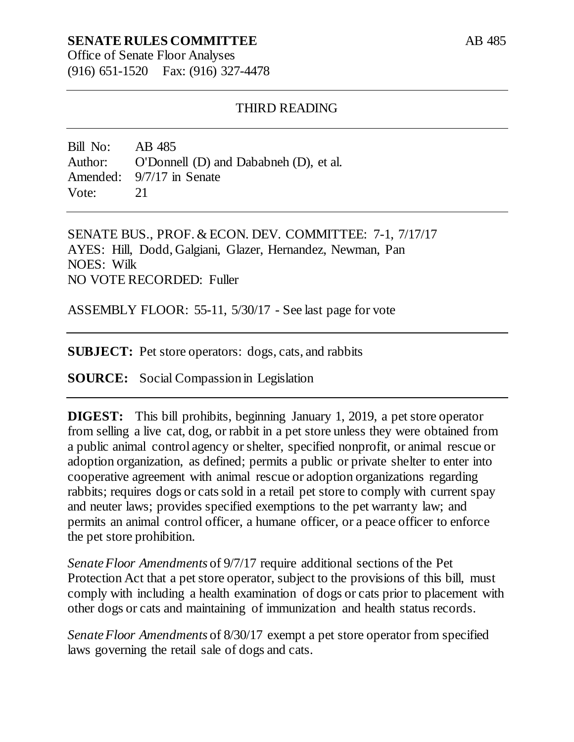# **SENATE RULES COMMITTEE**

Office of Senate Floor Analyses (916) 651-1520 Fax: (916) 327-4478

#### THIRD READING

Bill No: AB 485 Author: O'Donnell (D) and Dababneh (D), et al. Amended: 9/7/17 in Senate Vote: 21

SENATE BUS., PROF. & ECON. DEV. COMMITTEE: 7-1, 7/17/17 AYES: Hill, Dodd, Galgiani, Glazer, Hernandez, Newman, Pan NOES: Wilk NO VOTE RECORDED: Fuller

ASSEMBLY FLOOR: 55-11, 5/30/17 - See last page for vote

**SUBJECT:** Pet store operators: dogs, cats, and rabbits

**SOURCE:** Social Compassion in Legislation

**DIGEST:** This bill prohibits, beginning January 1, 2019, a pet store operator from selling a live cat, dog, or rabbit in a pet store unless they were obtained from a public animal control agency or shelter, specified nonprofit, or animal rescue or adoption organization, as defined; permits a public or private shelter to enter into cooperative agreement with animal rescue or adoption organizations regarding rabbits; requires dogs or cats sold in a retail pet store to comply with current spay and neuter laws; provides specified exemptions to the pet warranty law; and permits an animal control officer, a humane officer, or a peace officer to enforce the pet store prohibition.

*Senate Floor Amendments* of 9/7/17 require additional sections of the Pet Protection Act that a pet store operator, subject to the provisions of this bill, must comply with including a health examination of dogs or cats prior to placement with other dogs or cats and maintaining of immunization and health status records.

*Senate Floor Amendments* of 8/30/17 exempt a pet store operator from specified laws governing the retail sale of dogs and cats.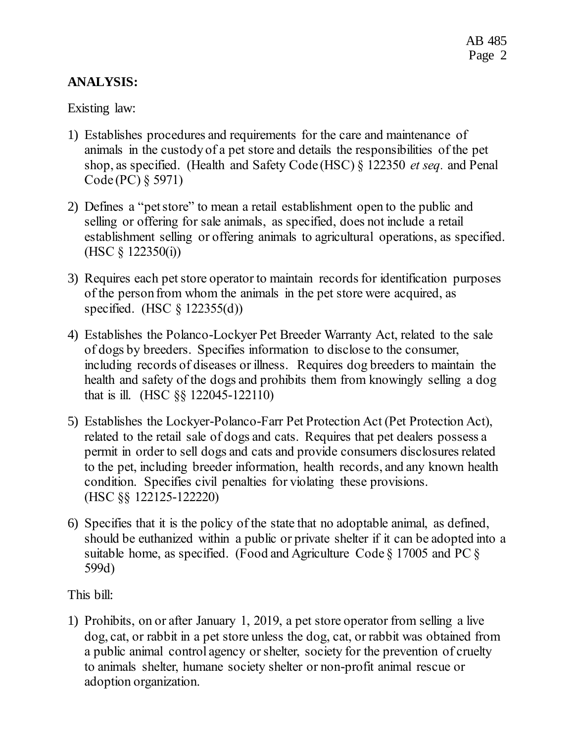# **ANALYSIS:**

Existing law:

- 1) Establishes procedures and requirements for the care and maintenance of animals in the custody of a pet store and details the responsibilities of the pet shop, as specified. (Health and Safety Code (HSC) § 122350 *et seq.* and Penal Code (PC) § 5971)
- 2) Defines a "pet store" to mean a retail establishment open to the public and selling or offering for sale animals, as specified, does not include a retail establishment selling or offering animals to agricultural operations, as specified.  $(HSC \S 122350(i))$
- 3) Requires each pet store operator to maintain records for identification purposes of the person from whom the animals in the pet store were acquired, as specified. (HSC § 122355(d))
- 4) Establishes the Polanco-Lockyer Pet Breeder Warranty Act, related to the sale of dogs by breeders. Specifies information to disclose to the consumer, including records of diseases or illness. Requires dog breeders to maintain the health and safety of the dogs and prohibits them from knowingly selling a dog that is ill. (HSC §§ 122045-122110)
- 5) Establishes the Lockyer-Polanco-Farr Pet Protection Act (Pet Protection Act), related to the retail sale of dogs and cats. Requires that pet dealers possess a permit in order to sell dogs and cats and provide consumers disclosures related to the pet, including breeder information, health records, and any known health condition. Specifies civil penalties for violating these provisions. (HSC §§ 122125-122220)
- 6) Specifies that it is the policy of the state that no adoptable animal, as defined, should be euthanized within a public or private shelter if it can be adopted into a suitable home, as specified. (Food and Agriculture Code  $\S$  17005 and PC  $\S$ 599d)

This bill:

1) Prohibits, on or after January 1, 2019, a pet store operator from selling a live dog, cat, or rabbit in a pet store unless the dog, cat, or rabbit was obtained from a public animal control agency or shelter, society for the prevention of cruelty to animals shelter, humane society shelter or non-profit animal rescue or adoption organization.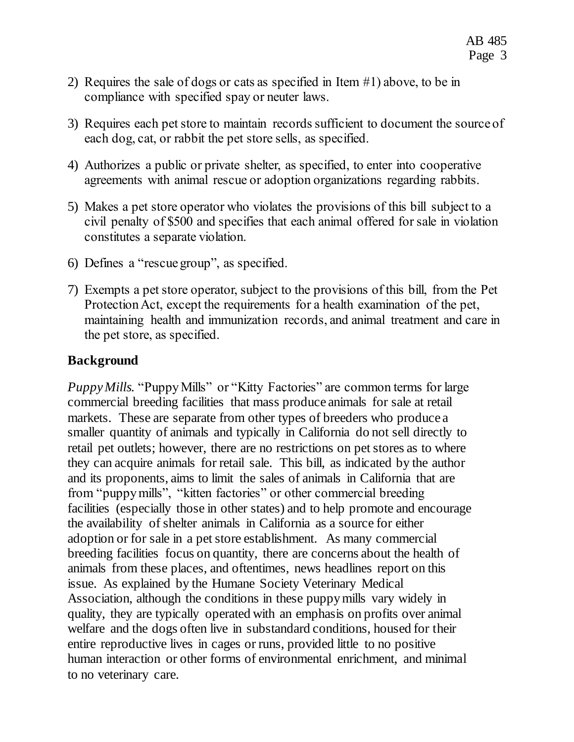- 2) Requires the sale of dogs or cats as specified in Item #1) above, to be in compliance with specified spay or neuter laws.
- 3) Requires each pet store to maintain records sufficient to document the source of each dog, cat, or rabbit the pet store sells, as specified.
- 4) Authorizes a public or private shelter, as specified, to enter into cooperative agreements with animal rescue or adoption organizations regarding rabbits.
- 5) Makes a pet store operator who violates the provisions of this bill subject to a civil penalty of \$500 and specifies that each animal offered for sale in violation constitutes a separate violation.
- 6) Defines a "rescue group", as specified.
- 7) Exempts a pet store operator, subject to the provisions of this bill, from the Pet Protection Act, except the requirements for a health examination of the pet, maintaining health and immunization records, and animal treatment and care in the pet store, as specified.

## **Background**

*Puppy Mills.* "Puppy Mills" or "Kitty Factories" are common terms for large commercial breeding facilities that mass produce animals for sale at retail markets. These are separate from other types of breeders who produce a smaller quantity of animals and typically in California do not sell directly to retail pet outlets; however, there are no restrictions on pet stores as to where they can acquire animals for retail sale. This bill, as indicated by the author and its proponents, aims to limit the sales of animals in California that are from "puppy mills", "kitten factories" or other commercial breeding facilities (especially those in other states) and to help promote and encourage the availability of shelter animals in California as a source for either adoption or for sale in a pet store establishment. As many commercial breeding facilities focus on quantity, there are concerns about the health of animals from these places, and oftentimes, news headlines report on this issue. As explained by the Humane Society Veterinary Medical Association, although the conditions in these puppy mills vary widely in quality, they are typically operated with an emphasis on profits over animal welfare and the dogs often live in substandard conditions, housed for their entire reproductive lives in cages or runs, provided little to no positive human interaction or other forms of environmental enrichment, and minimal to no veterinary care.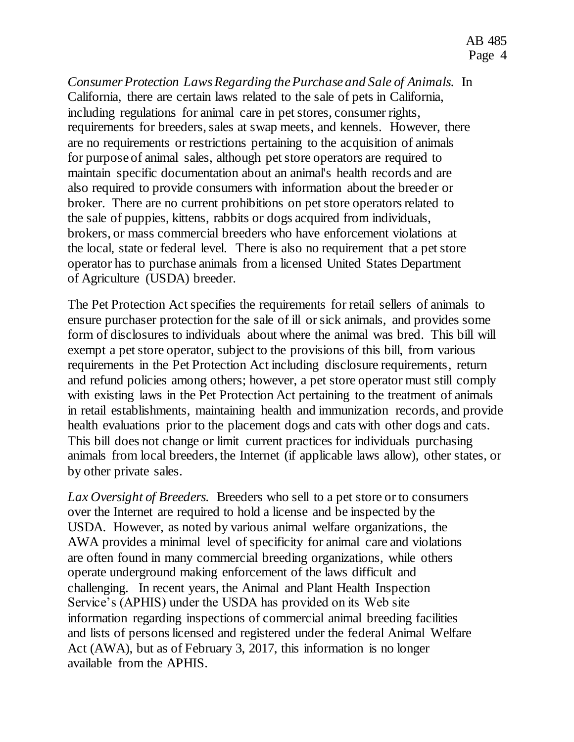*Consumer Protection Laws Regarding the Purchase and Sale of Animals.* In California, there are certain laws related to the sale of pets in California, including regulations for animal care in pet stores, consumer rights, requirements for breeders, sales at swap meets, and kennels. However, there are no requirements or restrictions pertaining to the acquisition of animals for purpose of animal sales, although pet store operators are required to maintain specific documentation about an animal's health records and are also required to provide consumers with information about the breeder or broker. There are no current prohibitions on pet store operators related to the sale of puppies, kittens, rabbits or dogs acquired from individuals, brokers, or mass commercial breeders who have enforcement violations at the local, state or federal level. There is also no requirement that a pet store operator has to purchase animals from a licensed United States Department of Agriculture (USDA) breeder.

The Pet Protection Act specifies the requirements for retail sellers of animals to ensure purchaser protection for the sale of ill or sick animals, and provides some form of disclosures to individuals about where the animal was bred. This bill will exempt a pet store operator, subject to the provisions of this bill, from various requirements in the Pet Protection Act including disclosure requirements, return and refund policies among others; however, a pet store operator must still comply with existing laws in the Pet Protection Act pertaining to the treatment of animals in retail establishments, maintaining health and immunization records, and provide health evaluations prior to the placement dogs and cats with other dogs and cats. This bill does not change or limit current practices for individuals purchasing animals from local breeders, the Internet (if applicable laws allow), other states, or by other private sales.

*Lax Oversight of Breeders.* Breeders who sell to a pet store or to consumers over the Internet are required to hold a license and be inspected by the USDA. However, as noted by various animal welfare organizations, the AWA provides a minimal level of specificity for animal care and violations are often found in many commercial breeding organizations, while others operate underground making enforcement of the laws difficult and challenging. In recent years, the Animal and Plant Health Inspection Service's (APHIS) under the USDA has provided on its Web site information regarding inspections of commercial animal breeding facilities and lists of persons licensed and registered under the federal Animal Welfare Act (AWA), but as of February 3, 2017, this information is no longer available from the APHIS.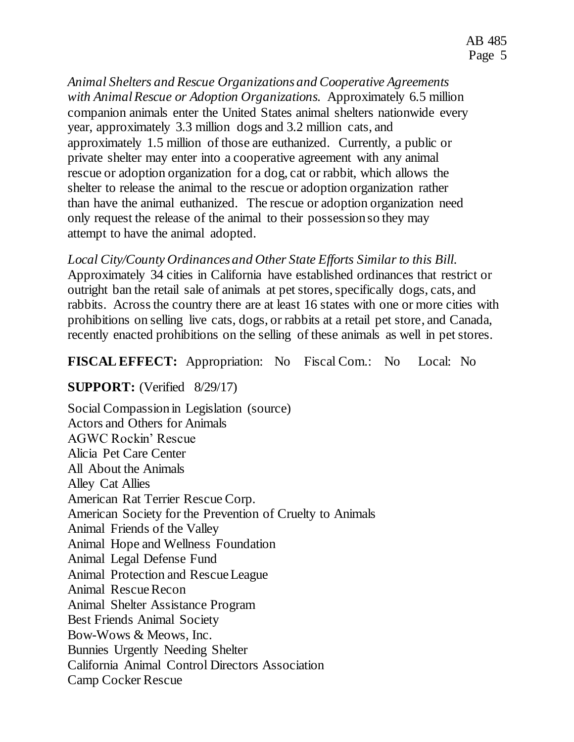*Animal Shelters and Rescue Organizations and Cooperative Agreements with Animal Rescue or Adoption Organizations.* Approximately 6.5 million companion animals enter the United States animal shelters nationwide every year, approximately 3.3 million dogs and 3.2 million cats, and approximately 1.5 million of those are euthanized. Currently, a public or private shelter may enter into a cooperative agreement with any animal rescue or adoption organization for a dog, cat or rabbit, which allows the shelter to release the animal to the rescue or adoption organization rather than have the animal euthanized. The rescue or adoption organization need only request the release of the animal to their possession so they may attempt to have the animal adopted.

*Local City/County Ordinances and Other State Efforts Similar to this Bill.* Approximately 34 cities in California have established ordinances that restrict or outright ban the retail sale of animals at pet stores, specifically dogs, cats, and rabbits. Across the country there are at least 16 states with one or more cities with prohibitions on selling live cats, dogs, or rabbits at a retail pet store, and Canada, recently enacted prohibitions on the selling of these animals as well in pet stores.

## **FISCAL EFFECT:** Appropriation: No Fiscal Com.: No Local: No

## **SUPPORT:** (Verified 8/29/17)

Social Compassion in Legislation (source) Actors and Others for Animals AGWC Rockin' Rescue Alicia Pet Care Center All About the Animals Alley Cat Allies American Rat Terrier Rescue Corp. American Society for the Prevention of Cruelty to Animals Animal Friends of the Valley Animal Hope and Wellness Foundation Animal Legal Defense Fund Animal Protection and Rescue League Animal Rescue Recon Animal Shelter Assistance Program Best Friends Animal Society Bow-Wows & Meows, Inc. Bunnies Urgently Needing Shelter California Animal Control Directors Association Camp Cocker Rescue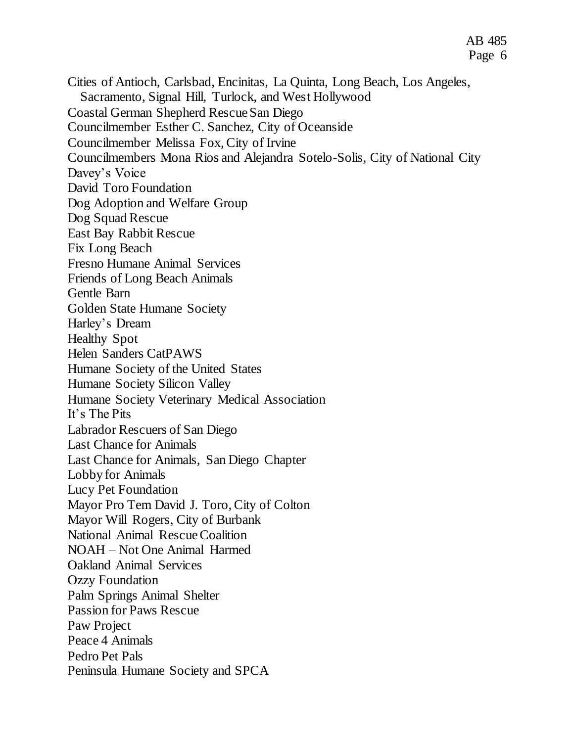- Coastal German Shepherd Rescue San Diego
- Councilmember Esther C. Sanchez, City of Oceanside

Sacramento, Signal Hill, Turlock, and West Hollywood

- Councilmember Melissa Fox, City of Irvine
- Councilmembers Mona Rios and Alejandra Sotelo-Solis, City of National City
- Davey's Voice
- David Toro Foundation
- Dog Adoption and Welfare Group
- Dog Squad Rescue
- East Bay Rabbit Rescue
- Fix Long Beach
- Fresno Humane Animal Services
- Friends of Long Beach Animals
- Gentle Barn
- Golden State Humane Society
- Harley's Dream
- Healthy Spot
- Helen Sanders CatPAWS
- Humane Society of the United States
- Humane Society Silicon Valley
- Humane Society Veterinary Medical Association
- It's The Pits
- Labrador Rescuers of San Diego
- Last Chance for Animals
- Last Chance for Animals, San Diego Chapter
- Lobby for Animals
- Lucy Pet Foundation
- Mayor Pro Tem David J. Toro, City of Colton
- Mayor Will Rogers, City of Burbank
- National Animal Rescue Coalition
- NOAH Not One Animal Harmed
- Oakland Animal Services
- Ozzy Foundation
- Palm Springs Animal Shelter
- Passion for Paws Rescue
- Paw Project
- Peace 4 Animals
- Pedro Pet Pals
- 
- Peninsula Humane Society and SPCA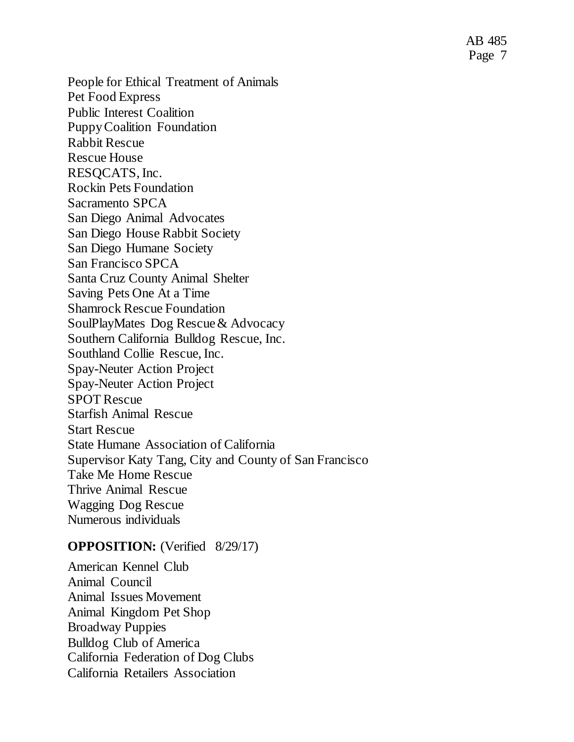AB 485 Page 7

People for Ethical Treatment of Animals Pet Food Express Public Interest Coalition Puppy Coalition Foundation Rabbit Rescue Rescue House RESQCATS, Inc. Rockin Pets Foundation Sacramento SPCA San Diego Animal Advocates San Diego House Rabbit Society San Diego Humane Society San Francisco SPCA Santa Cruz County Animal Shelter Saving Pets One At a Time Shamrock Rescue Foundation SoulPlayMates Dog Rescue & Advocacy Southern California Bulldog Rescue, Inc. Southland Collie Rescue, Inc. Spay-Neuter Action Project Spay-Neuter Action Project SPOT Rescue Starfish Animal Rescue Start Rescue State Humane Association of California Supervisor Katy Tang, City and County of San Francisco Take Me Home Rescue Thrive Animal Rescue Wagging Dog Rescue Numerous individuals

#### **OPPOSITION:** (Verified 8/29/17)

American Kennel Club Animal Council Animal Issues Movement Animal Kingdom Pet Shop Broadway Puppies Bulldog Club of America California Federation of Dog Clubs California Retailers Association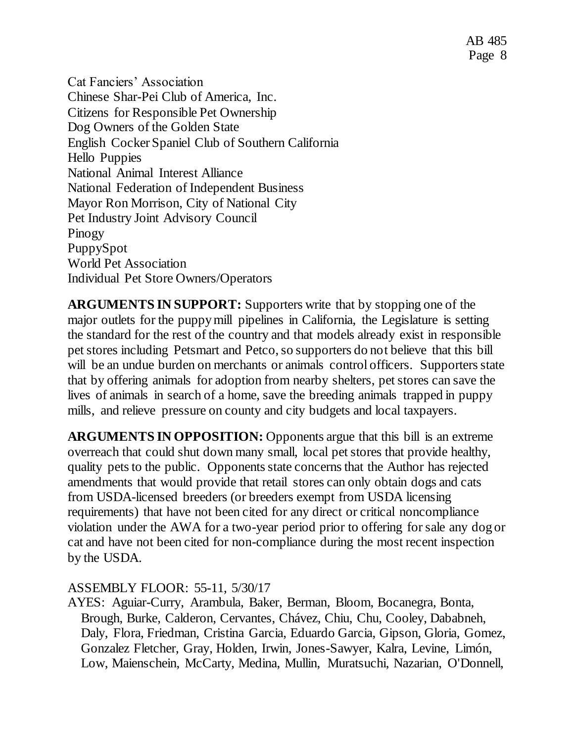Cat Fanciers' Association Chinese Shar-Pei Club of America, Inc. Citizens for Responsible Pet Ownership Dog Owners of the Golden State English Cocker Spaniel Club of Southern California Hello Puppies National Animal Interest Alliance National Federation of Independent Business Mayor Ron Morrison, City of National City Pet Industry Joint Advisory Council Pinogy PuppySpot World Pet Association Individual Pet Store Owners/Operators

**ARGUMENTS IN SUPPORT:** Supporters write that by stopping one of the major outlets for the puppy mill pipelines in California, the Legislature is setting the standard for the rest of the country and that models already exist in responsible pet stores including Petsmart and Petco, so supporters do not believe that this bill will be an undue burden on merchants or animals control officers. Supporters state that by offering animals for adoption from nearby shelters, pet stores can save the lives of animals in search of a home, save the breeding animals trapped in puppy mills, and relieve pressure on county and city budgets and local taxpayers.

**ARGUMENTS IN OPPOSITION:** Opponents argue that this bill is an extreme overreach that could shut down many small, local pet stores that provide healthy, quality pets to the public. Opponents state concerns that the Author has rejected amendments that would provide that retail stores can only obtain dogs and cats from USDA-licensed breeders (or breeders exempt from USDA licensing requirements) that have not been cited for any direct or critical noncompliance violation under the AWA for a two-year period prior to offering for sale any dog or cat and have not been cited for non-compliance during the most recent inspection by the USDA.

## ASSEMBLY FLOOR: 55-11, 5/30/17

AYES: Aguiar-Curry, Arambula, Baker, Berman, Bloom, Bocanegra, Bonta, Brough, Burke, Calderon, Cervantes, Chávez, Chiu, Chu, Cooley, Dababneh, Daly, Flora, Friedman, Cristina Garcia, Eduardo Garcia, Gipson, Gloria, Gomez, Gonzalez Fletcher, Gray, Holden, Irwin, Jones-Sawyer, Kalra, Levine, Limón, Low, Maienschein, McCarty, Medina, Mullin, Muratsuchi, Nazarian, O'Donnell,